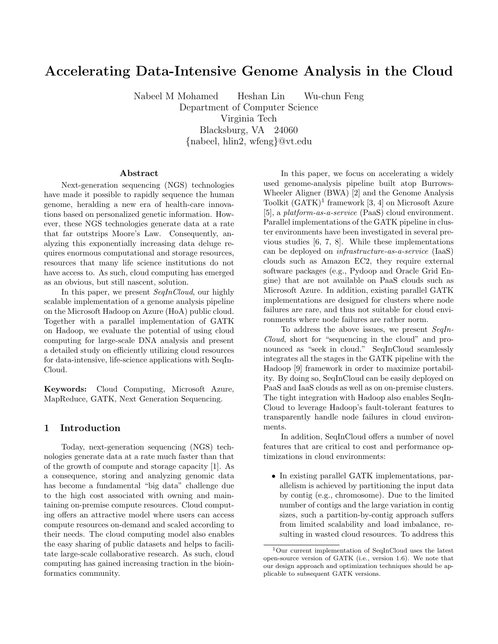# Accelerating Data-Intensive Genome Analysis in the Cloud

Nabeel M Mohamed Heshan Lin Wu-chun Feng Department of Computer Science Virginia Tech Blacksburg, VA 24060 {nabeel, hlin2, wfeng}@vt.edu

#### Abstract

Next-generation sequencing (NGS) technologies have made it possible to rapidly sequence the human genome, heralding a new era of health-care innovations based on personalized genetic information. However, these NGS technologies generate data at a rate that far outstrips Moore's Law. Consequently, analyzing this exponentially increasing data deluge requires enormous computational and storage resources, resources that many life science institutions do not have access to. As such, cloud computing has emerged as an obvious, but still nascent, solution.

In this paper, we present SeqInCloud, our highly scalable implementation of a genome analysis pipeline on the Microsoft Hadoop on Azure (HoA) public cloud. Together with a parallel implementation of GATK on Hadoop, we evaluate the potential of using cloud computing for large-scale DNA analysis and present a detailed study on efficiently utilizing cloud resources for data-intensive, life-science applications with SeqIn-Cloud.

Keywords: Cloud Computing, Microsoft Azure, MapReduce, GATK, Next Generation Sequencing.

## 1 Introduction

Today, next-generation sequencing (NGS) technologies generate data at a rate much faster than that of the growth of compute and storage capacity [1]. As a consequence, storing and analyzing genomic data has become a fundamental "big data" challenge due to the high cost associated with owning and maintaining on-premise compute resources. Cloud computing offers an attractive model where users can access compute resources on-demand and scaled according to their needs. The cloud computing model also enables the easy sharing of public datasets and helps to facilitate large-scale collaborative research. As such, cloud computing has gained increasing traction in the bioinformatics community.

In this paper, we focus on accelerating a widely used genome-analysis pipeline built atop Burrows-Wheeler Aligner (BWA) [2] and the Genome Analysis Toolkit  $(GATK)^1$  framework [3, 4] on Microsoft Azure [5], a platform-as-a-service (PaaS) cloud environment. Parallel implementations of the GATK pipeline in cluster environments have been investigated in several previous studies [6, 7, 8]. While these implementations can be deployed on infrastructure-as-a-service (IaaS) clouds such as Amazon EC2, they require external software packages (e.g., Pydoop and Oracle Grid Engine) that are not available on PaaS clouds such as Microsoft Azure. In addition, existing parallel GATK implementations are designed for clusters where node failures are rare, and thus not suitable for cloud environments where node failures are rather norm.

To address the above issues, we present SeqIn-Cloud, short for "sequencing in the cloud" and pronounced as "seek in cloud." SeqInCloud seamlessly integrates all the stages in the GATK pipeline with the Hadoop [9] framework in order to maximize portability. By doing so, SeqInCloud can be easily deployed on PaaS and IaaS clouds as well as on on-premise clusters. The tight integration with Hadoop also enables SeqIn-Cloud to leverage Hadoop's fault-tolerant features to transparently handle node failures in cloud environments.

In addition, SeqInCloud offers a number of novel features that are critical to cost and performance optimizations in cloud environments:

• In existing parallel GATK implementations, parallelism is achieved by partitioning the input data by contig (e.g., chromosome). Due to the limited number of contigs and the large variation in contig sizes, such a partition-by-contig approach suffers from limited scalability and load imbalance, resulting in wasted cloud resources. To address this

<sup>1</sup>Our current implementation of SeqInCloud uses the latest open-source version of GATK (i.e., version 1.6). We note that our design approach and optimization techniques should be applicable to subsequent GATK versions.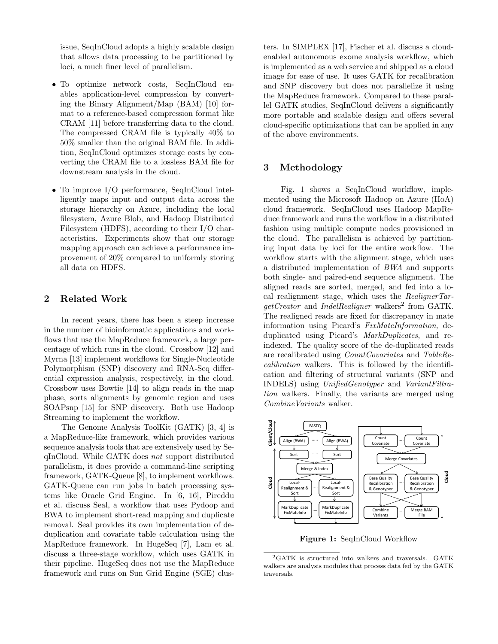issue, SeqInCloud adopts a highly scalable design that allows data processing to be partitioned by loci, a much finer level of parallelism.

- To optimize network costs, SeqInCloud enables application-level compression by converting the Binary Alignment/Map (BAM) [10] format to a reference-based compression format like CRAM [11] before transferring data to the cloud. The compressed CRAM file is typically 40% to 50% smaller than the original BAM file. In addition, SeqInCloud optimizes storage costs by converting the CRAM file to a lossless BAM file for downstream analysis in the cloud.
- To improve I/O performance, SeqInCloud intelligently maps input and output data across the storage hierarchy on Azure, including the local filesystem, Azure Blob, and Hadoop Distributed Filesystem (HDFS), according to their I/O characteristics. Experiments show that our storage mapping approach can achieve a performance improvement of 20% compared to uniformly storing all data on HDFS.

## 2 Related Work

In recent years, there has been a steep increase in the number of bioinformatic applications and workflows that use the MapReduce framework, a large percentage of which runs in the cloud. Crossbow [12] and Myrna [13] implement workflows for Single-Nucleotide Polymorphism (SNP) discovery and RNA-Seq differential expression analysis, respectively, in the cloud. Crossbow uses Bowtie [14] to align reads in the map phase, sorts alignments by genomic region and uses SOAPsnp [15] for SNP discovery. Both use Hadoop Streaming to implement the workflow.

The Genome Analysis ToolKit (GATK) [3, 4] is a MapReduce-like framework, which provides various sequence analysis tools that are extensively used by SeqInCloud. While GATK does not support distributed parallelism, it does provide a command-line scripting framework, GATK-Queue [8], to implement workflows. GATK-Queue can run jobs in batch processing systems like Oracle Grid Engine. In [6, 16], Pireddu et al. discuss Seal, a workflow that uses Pydoop and BWA to implement short-read mapping and duplicate removal. Seal provides its own implementation of deduplication and covariate table calculation using the MapReduce framework. In HugeSeq [7], Lam et al. discuss a three-stage workflow, which uses GATK in their pipeline. HugeSeq does not use the MapReduce framework and runs on Sun Grid Engine (SGE) clusters. In SIMPLEX [17], Fischer et al. discuss a cloudenabled autonomous exome analysis workflow, which is implemented as a web service and shipped as a cloud image for ease of use. It uses GATK for recalibration and SNP discovery but does not parallelize it using the MapReduce framework. Compared to these parallel GATK studies, SeqInCloud delivers a significantly more portable and scalable design and offers several cloud-specific optimizations that can be applied in any of the above environments.

# 3 Methodology

Fig. 1 shows a SeqInCloud workflow, implemented using the Microsoft Hadoop on Azure (HoA) cloud framework. SeqInCloud uses Hadoop MapReduce framework and runs the workflow in a distributed fashion using multiple compute nodes provisioned in the cloud. The parallelism is achieved by partitioning input data by loci for the entire workflow. The workflow starts with the alignment stage, which uses a distributed implementation of BWA and supports both single- and paired-end sequence alignment. The aligned reads are sorted, merged, and fed into a local realignment stage, which uses the  $Realigner Tar$ getCreator and IndelRealigner walkers<sup>2</sup> from GATK. The realigned reads are fixed for discrepancy in mate information using Picard's FixMateInformation, deduplicated using Picard's MarkDuplicates, and reindexed. The quality score of the de-duplicated reads are recalibrated using CountCovariates and TableRecalibration walkers. This is followed by the identification and filtering of structural variants (SNP and INDELS) using UnifiedGenotyper and VariantFiltration walkers. Finally, the variants are merged using CombineVariants walker.



Figure 1: SeqInCloud Workflow

<sup>2</sup>GATK is structured into walkers and traversals. GATK walkers are analysis modules that process data fed by the GATK traversals.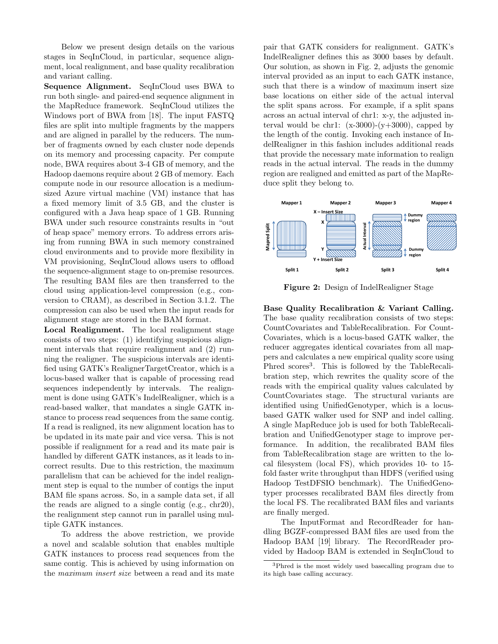Below we present design details on the various stages in SeqInCloud, in particular, sequence alignment, local realignment, and base quality recalibration and variant calling.

Sequence Alignment. SeqInCloud uses BWA to run both single- and paired-end sequence alignment in the MapReduce framework. SeqInCloud utilizes the Windows port of BWA from [18]. The input FASTQ files are split into multiple fragments by the mappers and are aligned in parallel by the reducers. The number of fragments owned by each cluster node depends on its memory and processing capacity. Per compute node, BWA requires about 3-4 GB of memory, and the Hadoop daemons require about 2 GB of memory. Each compute node in our resource allocation is a mediumsized Azure virtual machine (VM) instance that has a fixed memory limit of 3.5 GB, and the cluster is configured with a Java heap space of 1 GB. Running BWA under such resource constraints results in "out of heap space" memory errors. To address errors arising from running BWA in such memory constrained cloud environments and to provide more flexibility in VM provisioning, SeqInCloud allows users to offload the sequence-alignment stage to on-premise resources. The resulting BAM files are then transferred to the cloud using application-level compression (e.g., conversion to CRAM), as described in Section 3.1.2. The compression can also be used when the input reads for alignment stage are stored in the BAM format.

Local Realignment. The local realignment stage consists of two steps: (1) identifying suspicious alignment intervals that require realignment and (2) running the realigner. The suspicious intervals are identified using GATK's RealignerTargetCreator, which is a locus-based walker that is capable of processing read sequences independently by intervals. The realignment is done using GATK's IndelRealigner, which is a read-based walker, that mandates a single GATK instance to process read sequences from the same contig. If a read is realigned, its new alignment location has to be updated in its mate pair and vice versa. This is not possible if realignment for a read and its mate pair is handled by different GATK instances, as it leads to incorrect results. Due to this restriction, the maximum parallelism that can be achieved for the indel realignment step is equal to the number of contigs the input BAM file spans across. So, in a sample data set, if all the reads are aligned to a single contig (e.g., chr20), the realignment step cannot run in parallel using multiple GATK instances.

To address the above restriction, we provide a novel and scalable solution that enables multiple GATK instances to process read sequences from the same contig. This is achieved by using information on the maximum insert size between a read and its mate pair that GATK considers for realignment. GATK's IndelRealigner defines this as 3000 bases by default. Our solution, as shown in Fig. 2, adjusts the genomic interval provided as an input to each GATK instance, such that there is a window of maximum insert size base locations on either side of the actual interval the split spans across. For example, if a split spans across an actual interval of chr1: x-y, the adjusted interval would be chr1:  $(x-3000)-(y+3000)$ , capped by the length of the contig. Invoking each instance of IndelRealigner in this fashion includes additional reads that provide the necessary mate information to realign reads in the actual interval. The reads in the dummy region are realigned and emitted as part of the MapReduce split they belong to.



Figure 2: Design of IndelRealigner Stage

Base Quality Recalibration & Variant Calling. The base quality recalibration consists of two steps: CountCovariates and TableRecalibration. For Count-Covariates, which is a locus-based GATK walker, the reducer aggregates identical covariates from all mappers and calculates a new empirical quality score using Phred scores<sup>3</sup>. This is followed by the TableRecalibration step, which rewrites the quality score of the reads with the empirical quality values calculated by CountCovariates stage. The structural variants are identified using UnifiedGenotyper, which is a locusbased GATK walker used for SNP and indel calling. A single MapReduce job is used for both TableRecalibration and UnifiedGenotyper stage to improve performance. In addition, the recalibrated BAM files from TableRecalibration stage are written to the local filesystem (local FS), which provides 10- to 15 fold faster write throughput than HDFS (verified using Hadoop TestDFSIO benchmark). The UnifiedGenotyper processes recalibrated BAM files directly from the local FS. The recalibrated BAM files and variants are finally merged.

The InputFormat and RecordReader for handling BGZF-compressed BAM files are used from the Hadoop BAM [19] library. The RecordReader provided by Hadoop BAM is extended in SeqInCloud to

<sup>3</sup>Phred is the most widely used basecalling program due to its high base calling accuracy.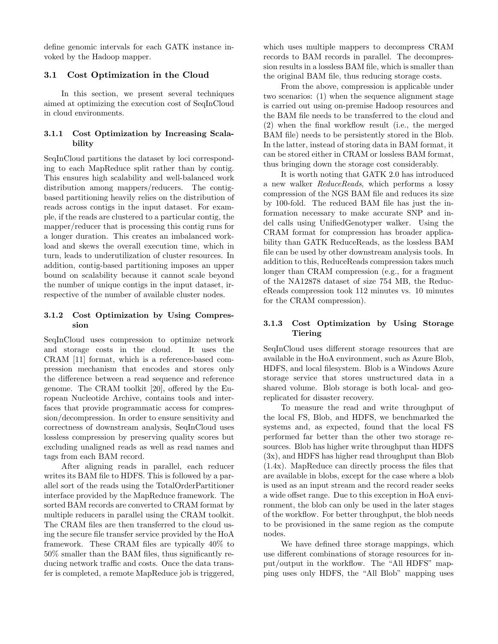define genomic intervals for each GATK instance invoked by the Hadoop mapper.

# 3.1 Cost Optimization in the Cloud

In this section, we present several techniques aimed at optimizing the execution cost of SeqInCloud in cloud environments.

# 3.1.1 Cost Optimization by Increasing Scalability

SeqInCloud partitions the dataset by loci corresponding to each MapReduce split rather than by contig. This ensures high scalability and well-balanced work distribution among mappers/reducers. The contigbased partitioning heavily relies on the distribution of reads across contigs in the input dataset. For example, if the reads are clustered to a particular contig, the mapper/reducer that is processing this contig runs for a longer duration. This creates an imbalanced workload and skews the overall execution time, which in turn, leads to underutilization of cluster resources. In addition, contig-based partitioning imposes an upper bound on scalability because it cannot scale beyond the number of unique contigs in the input dataset, irrespective of the number of available cluster nodes.

# 3.1.2 Cost Optimization by Using Compression

SeqInCloud uses compression to optimize network and storage costs in the cloud. It uses the CRAM [11] format, which is a reference-based compression mechanism that encodes and stores only the difference between a read sequence and reference genome. The CRAM toolkit [20], offered by the European Nucleotide Archive, contains tools and interfaces that provide programmatic access for compression/decompression. In order to ensure sensitivity and correctness of downstream analysis, SeqInCloud uses lossless compression by preserving quality scores but excluding unaligned reads as well as read names and tags from each BAM record.

After aligning reads in parallel, each reducer writes its BAM file to HDFS. This is followed by a parallel sort of the reads using the TotalOrderPartitioner interface provided by the MapReduce framework. The sorted BAM records are converted to CRAM format by multiple reducers in parallel using the CRAM toolkit. The CRAM files are then transferred to the cloud using the secure file transfer service provided by the HoA framework. These CRAM files are typically 40% to 50% smaller than the BAM files, thus significantly reducing network traffic and costs. Once the data transfer is completed, a remote MapReduce job is triggered, which uses multiple mappers to decompress CRAM records to BAM records in parallel. The decompression results in a lossless BAM file, which is smaller than the original BAM file, thus reducing storage costs.

From the above, compression is applicable under two scenarios: (1) when the sequence alignment stage is carried out using on-premise Hadoop resources and the BAM file needs to be transferred to the cloud and (2) when the final workflow result (i.e., the merged BAM file) needs to be persistently stored in the Blob. In the latter, instead of storing data in BAM format, it can be stored either in CRAM or lossless BAM format, thus bringing down the storage cost considerably.

It is worth noting that GATK 2.0 has introduced a new walker ReduceReads, which performs a lossy compression of the NGS BAM file and reduces its size by 100-fold. The reduced BAM file has just the information necessary to make accurate SNP and indel calls using UnifiedGenotyper walker. Using the CRAM format for compression has broader applicability than GATK ReduceReads, as the lossless BAM file can be used by other downstream analysis tools. In addition to this, ReduceReads compression takes much longer than CRAM compression (e.g., for a fragment of the NA12878 dataset of size 754 MB, the ReduceReads compression took 112 minutes vs. 10 minutes for the CRAM compression).

# 3.1.3 Cost Optimization by Using Storage Tiering

SeqInCloud uses different storage resources that are available in the HoA environment, such as Azure Blob, HDFS, and local filesystem. Blob is a Windows Azure storage service that stores unstructured data in a shared volume. Blob storage is both local- and georeplicated for disaster recovery.

To measure the read and write throughput of the local FS, Blob, and HDFS, we benchmarked the systems and, as expected, found that the local FS performed far better than the other two storage resources. Blob has higher write throughput than HDFS (3x), and HDFS has higher read throughput than Blob (1.4x). MapReduce can directly process the files that are available in blobs, except for the case where a blob is used as an input stream and the record reader seeks a wide offset range. Due to this exception in HoA environment, the blob can only be used in the later stages of the workflow. For better throughput, the blob needs to be provisioned in the same region as the compute nodes.

We have defined three storage mappings, which use different combinations of storage resources for input/output in the workflow. The "All HDFS" mapping uses only HDFS, the "All Blob" mapping uses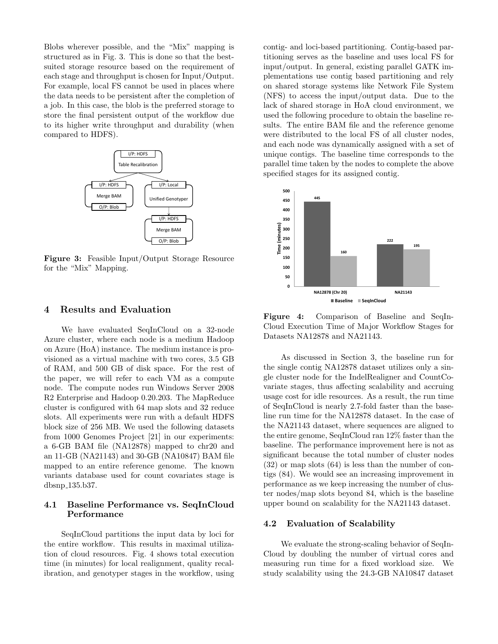Blobs wherever possible, and the "Mix" mapping is structured as in Fig. 3. This is done so that the bestsuited storage resource based on the requirement of each stage and throughput is chosen for Input/Output. For example, local FS cannot be used in places where the data needs to be persistent after the completion of a job. In this case, the blob is the preferred storage to store the final persistent output of the workflow due to its higher write throughput and durability (when compared to HDFS).



Figure 3: Feasible Input/Output Storage Resource for the "Mix" Mapping.

#### 4 Results and Evaluation

We have evaluated SeqInCloud on a 32-node Azure cluster, where each node is a medium Hadoop on Azure (HoA) instance. The medium instance is provisioned as a virtual machine with two cores, 3.5 GB of RAM, and 500 GB of disk space. For the rest of the paper, we will refer to each VM as a compute node. The compute nodes run Windows Server 2008 R2 Enterprise and Hadoop 0.20.203. The MapReduce cluster is configured with 64 map slots and 32 reduce slots. All experiments were run with a default HDFS block size of 256 MB. We used the following datasets from 1000 Genomes Project [21] in our experiments: a 6-GB BAM file (NA12878) mapped to chr20 and an 11-GB (NA21143) and 30-GB (NA10847) BAM file mapped to an entire reference genome. The known variants database used for count covariates stage is dbsnp 135.b37.

# 4.1 Baseline Performance vs. SeqInCloud Performance

SeqInCloud partitions the input data by loci for the entire workflow. This results in maximal utilization of cloud resources. Fig. 4 shows total execution time (in minutes) for local realignment, quality recalibration, and genotyper stages in the workflow, using contig- and loci-based partitioning. Contig-based partitioning serves as the baseline and uses local FS for input/output. In general, existing parallel GATK implementations use contig based partitioning and rely on shared storage systems like Network File System (NFS) to access the input/output data. Due to the lack of shared storage in HoA cloud environment, we used the following procedure to obtain the baseline results. The entire BAM file and the reference genome were distributed to the local FS of all cluster nodes, and each node was dynamically assigned with a set of unique contigs. The baseline time corresponds to the parallel time taken by the nodes to complete the above specified stages for its assigned contig.



Figure 4: Comparison of Baseline and SeqIn-Cloud Execution Time of Major Workflow Stages for Datasets NA12878 and NA21143.

As discussed in Section 3, the baseline run for the single contig NA12878 dataset utilizes only a single cluster node for the IndelRealigner and CountCovariate stages, thus affecting scalability and accruing usage cost for idle resources. As a result, the run time of SeqInCloud is nearly 2.7-fold faster than the baseline run time for the NA12878 dataset. In the case of the NA21143 dataset, where sequences are aligned to the entire genome, SeqInCloud ran 12% faster than the baseline. The performance improvement here is not as significant because the total number of cluster nodes (32) or map slots (64) is less than the number of contigs (84). We would see an increasing improvement in performance as we keep increasing the number of cluster nodes/map slots beyond 84, which is the baseline upper bound on scalability for the NA21143 dataset.

#### 4.2 Evaluation of Scalability

We evaluate the strong-scaling behavior of SeqIn-Cloud by doubling the number of virtual cores and measuring run time for a fixed workload size. We study scalability using the 24.3-GB NA10847 dataset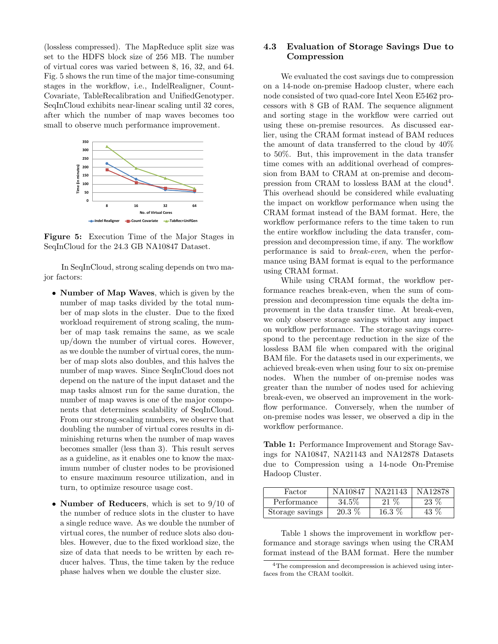(lossless compressed). The MapReduce split size was set to the HDFS block size of 256 MB. The number of virtual cores was varied between 8, 16, 32, and 64. Fig. 5 shows the run time of the major time-consuming stages in the workflow, i.e., IndelRealigner, Count-Covariate, TableRecalibration and UnifiedGenotyper. SeqInCloud exhibits near-linear scaling until 32 cores, after which the number of map waves becomes too small to observe much performance improvement.



Figure 5: Execution Time of the Major Stages in SeqInCloud for the 24.3 GB NA10847 Dataset.

In SeqInCloud, strong scaling depends on two major factors:

- **Number of Map Waves**, which is given by the number of map tasks divided by the total number of map slots in the cluster. Due to the fixed workload requirement of strong scaling, the number of map task remains the same, as we scale up/down the number of virtual cores. However, as we double the number of virtual cores, the number of map slots also doubles, and this halves the number of map waves. Since SeqInCloud does not depend on the nature of the input dataset and the map tasks almost run for the same duration, the number of map waves is one of the major components that determines scalability of SeqInCloud. From our strong-scaling numbers, we observe that doubling the number of virtual cores results in diminishing returns when the number of map waves becomes smaller (less than 3). This result serves as a guideline, as it enables one to know the maximum number of cluster nodes to be provisioned to ensure maximum resource utilization, and in turn, to optimize resource usage cost.
- **Number of Reducers**, which is set to 9/10 of the number of reduce slots in the cluster to have a single reduce wave. As we double the number of virtual cores, the number of reduce slots also doubles. However, due to the fixed workload size, the size of data that needs to be written by each reducer halves. Thus, the time taken by the reduce phase halves when we double the cluster size.

# 4.3 Evaluation of Storage Savings Due to Compression

We evaluated the cost savings due to compression on a 14-node on-premise Hadoop cluster, where each node consisted of two quad-core Intel Xeon E5462 processors with 8 GB of RAM. The sequence alignment and sorting stage in the workflow were carried out using these on-premise resources. As discussed earlier, using the CRAM format instead of BAM reduces the amount of data transferred to the cloud by 40% to 50%. But, this improvement in the data transfer time comes with an additional overhead of compression from BAM to CRAM at on-premise and decompression from CRAM to lossless BAM at the cloud<sup>4</sup>. This overhead should be considered while evaluating the impact on workflow performance when using the CRAM format instead of the BAM format. Here, the workflow performance refers to the time taken to run the entire workflow including the data transfer, compression and decompression time, if any. The workflow performance is said to break-even, when the performance using BAM format is equal to the performance using CRAM format.

While using CRAM format, the workflow performance reaches break-even, when the sum of compression and decompression time equals the delta improvement in the data transfer time. At break-even, we only observe storage savings without any impact on workflow performance. The storage savings correspond to the percentage reduction in the size of the lossless BAM file when compared with the original BAM file. For the datasets used in our experiments, we achieved break-even when using four to six on-premise nodes. When the number of on-premise nodes was greater than the number of nodes used for achieving break-even, we observed an improvement in the workflow performance. Conversely, when the number of on-premise nodes was lesser, we observed a dip in the workflow performance.

Table 1: Performance Improvement and Storage Savings for NA10847, NA21143 and NA12878 Datasets due to Compression using a 14-node On-Premise Hadoop Cluster.

| Factor          | NA10847  | N A 21143 | N A 198 |
|-----------------|----------|-----------|---------|
| Performance     | 34.5%    | 21 \%     | 23 %    |
| Storage savings | $20.3\%$ | $16.3\%$  | 43 %    |

Table 1 shows the improvement in workflow performance and storage savings when using the CRAM format instead of the BAM format. Here the number

<sup>4</sup>The compression and decompression is achieved using interfaces from the CRAM toolkit.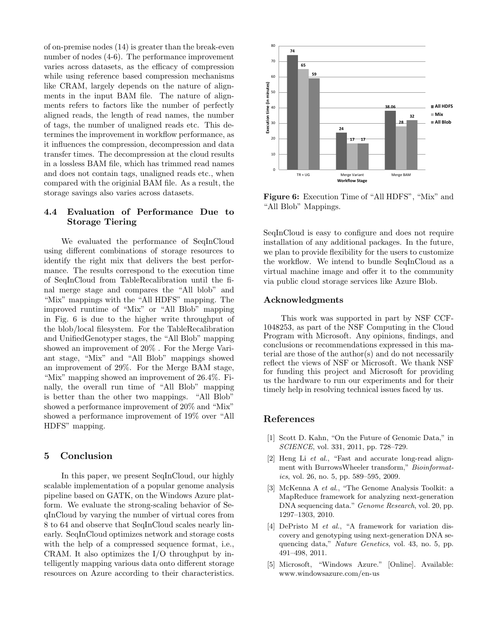of on-premise nodes (14) is greater than the break-even number of nodes (4-6). The performance improvement varies across datasets, as the efficacy of compression while using reference based compression mechanisms like CRAM, largely depends on the nature of alignments in the input BAM file. The nature of alignments refers to factors like the number of perfectly aligned reads, the length of read names, the number of tags, the number of unaligned reads etc. This determines the improvement in workflow performance, as it influences the compression, decompression and data transfer times. The decompression at the cloud results in a lossless BAM file, which has trimmed read names and does not contain tags, unaligned reads etc., when compared with the originial BAM file. As a result, the storage savings also varies across datasets.

## 4.4 Evaluation of Performance Due to Storage Tiering

We evaluated the performance of SeqInCloud using different combinations of storage resources to identify the right mix that delivers the best performance. The results correspond to the execution time of SeqInCloud from TableRecalibration until the final merge stage and compares the "All blob" and "Mix" mappings with the "All HDFS" mapping. The improved runtime of "Mix" or "All Blob" mapping in Fig. 6 is due to the higher write throughput of the blob/local filesystem. For the TableRecalibration and UnifiedGenotyper stages, the "All Blob" mapping showed an improvement of 20% . For the Merge Variant stage, "Mix" and "All Blob" mappings showed an improvement of 29%. For the Merge BAM stage, "Mix" mapping showed an improvement of 26.4%. Finally, the overall run time of "All Blob" mapping is better than the other two mappings. "All Blob" showed a performance improvement of 20% and "Mix" showed a performance improvement of 19% over "All HDFS" mapping.

# 5 Conclusion

In this paper, we present SeqInCloud, our highly scalable implementation of a popular genome analysis pipeline based on GATK, on the Windows Azure platform. We evaluate the strong-scaling behavior of SeqInCloud by varying the number of virtual cores from 8 to 64 and observe that SeqInCloud scales nearly linearly. SeqInCloud optimizes network and storage costs with the help of a compressed sequence format, i.e., CRAM. It also optimizes the I/O throughput by intelligently mapping various data onto different storage resources on Azure according to their characteristics.



Figure 6: Execution Time of "All HDFS", "Mix" and "All Blob" Mappings.

SeqInCloud is easy to configure and does not require installation of any additional packages. In the future, we plan to provide flexibility for the users to customize the workflow. We intend to bundle SeqInCloud as a virtual machine image and offer it to the community via public cloud storage services like Azure Blob.

#### Acknowledgments

This work was supported in part by NSF CCF-1048253, as part of the NSF Computing in the Cloud Program with Microsoft. Any opinions, findings, and conclusions or recommendations expressed in this material are those of the author(s) and do not necessarily reflect the views of NSF or Microsoft. We thank NSF for funding this project and Microsoft for providing us the hardware to run our experiments and for their timely help in resolving technical issues faced by us.

#### References

- [1] Scott D. Kahn, "On the Future of Genomic Data," in SCIENCE, vol. 331, 2011, pp. 728–729.
- [2] Heng Li et al., "Fast and accurate long-read alignment with BurrowsWheeler transform," Bioinformatics, vol. 26, no. 5, pp. 589–595, 2009.
- [3] McKenna A et al., "The Genome Analysis Toolkit: a MapReduce framework for analyzing next-generation DNA sequencing data." Genome Research, vol. 20, pp. 1297–1303, 2010.
- [4] DePristo M et al., "A framework for variation discovery and genotyping using next-generation DNA sequencing data," Nature Genetics, vol. 43, no. 5, pp. 491–498, 2011.
- [5] Microsoft, "Windows Azure." [Online]. Available: www.windowsazure.com/en-us